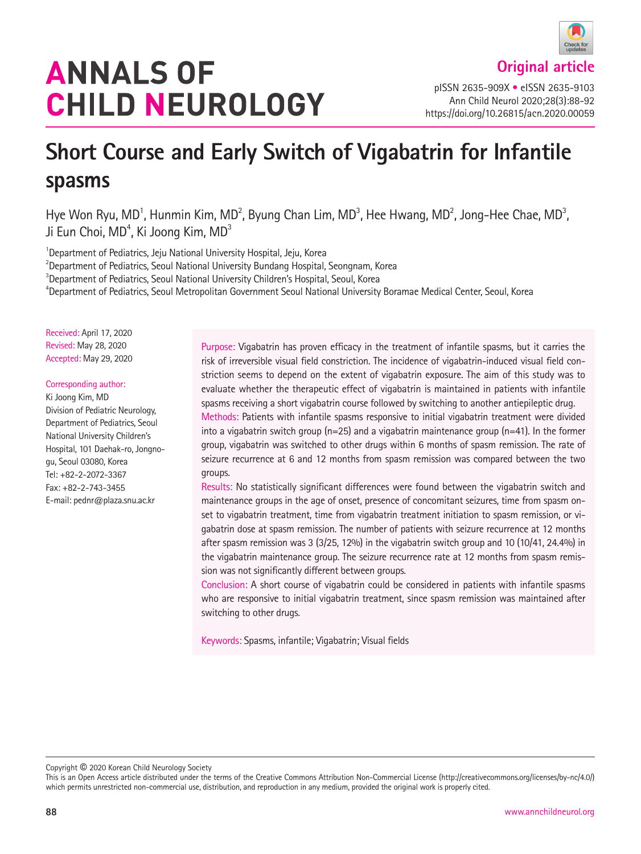# **ANNALS OF CHILD NEUROLOGY**

pISSN 2635-909X • eISSN 2635-9103 Ann Child Neurol 2020;28(3):88-92 https://doi.org/10.26815/acn.2020.00059

## **Short Course and Early Switch of Vigabatrin for Infantile spasms**

Hye Won Ryu, MD<sup>1</sup>, Hunmin Kim, MD<sup>2</sup>, Byung Chan Lim, MD<sup>3</sup>, Hee Hwang, MD<sup>2</sup>, Jong-Hee Chae, MD<sup>3</sup>, Ji Eun Choi, MD $^{\rm 4}$ , Ki Joong Kim, MD $^{\rm 3}$ 

<sup>1</sup> Department of Pediatrics, Jeju National University Hospital, Jeju, Korea<br><sup>2</sup> Department of Pediatrics, Sequi National University Bundang Hespital

<sup>2</sup> Department of Pediatrics, Seoul National University Bundang Hospital, Seongnam, Korea

<sup>3</sup>Department of Pediatrics, Seoul National University Children's Hospital, Seoul, Korea

4 Department of Pediatrics, Seoul Metropolitan Government Seoul National University Boramae Medical Center, Seoul, Korea

Received: April 17, 2020 Revised: May 28, 2020 Accepted: May 29, 2020

#### Corresponding author:

Ki Joong Kim, MD Division of Pediatric Neurology, Department of Pediatrics, Seoul National University Children's Hospital, 101 Daehak-ro, Jongnogu, Seoul 03080, Korea Tel: +82-2-2072-3367 Fax: +82-2-743-3455 E-mail: pednr@plaza.snu.ac.kr

Purpose: Vigabatrin has proven efficacy in the treatment of infantile spasms, but it carries the risk of irreversible visual field constriction. The incidence of vigabatrin-induced visual field constriction seems to depend on the extent of vigabatrin exposure. The aim of this study was to evaluate whether the therapeutic effect of vigabatrin is maintained in patients with infantile spasms receiving a short vigabatrin course followed by switching to another antiepileptic drug. Methods: Patients with infantile spasms responsive to initial vigabatrin treatment were divided into a vigabatrin switch group ( $n=25$ ) and a vigabatrin maintenance group ( $n=41$ ). In the former group, vigabatrin was switched to other drugs within 6 months of spasm remission. The rate of seizure recurrence at 6 and 12 months from spasm remission was compared between the two groups.

Results: No statistically significant differences were found between the vigabatrin switch and maintenance groups in the age of onset, presence of concomitant seizures, time from spasm onset to vigabatrin treatment, time from vigabatrin treatment initiation to spasm remission, or vigabatrin dose at spasm remission. The number of patients with seizure recurrence at 12 months after spasm remission was 3 (3/25, 12%) in the vigabatrin switch group and 10 (10/41, 24.4%) in the vigabatrin maintenance group. The seizure recurrence rate at 12 months from spasm remission was not significantly different between groups.

Conclusion: A short course of vigabatrin could be considered in patients with infantile spasms who are responsive to initial vigabatrin treatment, since spasm remission was maintained after switching to other drugs.

Keywords: Spasms, infantile; Vigabatrin; Visual fields

Copyright © 2020 Korean Child Neurology Society

This is an Open Access article distributed under the terms of the Creative Commons Attribution Non-Commercial License (http://creativecommons.org/licenses/by-nc/4.0/) which permits unrestricted non-commercial use, distribution, and reproduction in any medium, provided the original work is properly cited.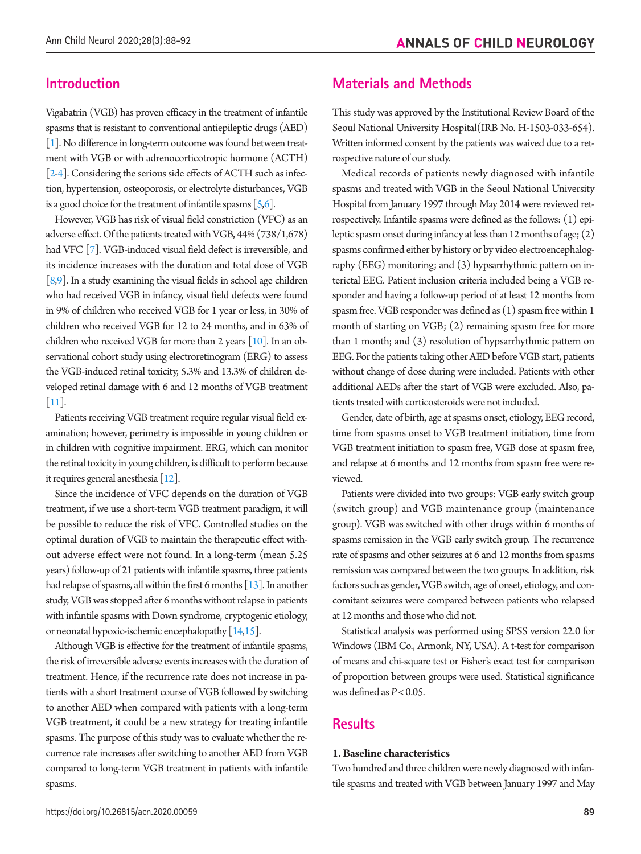## **Introduction**

Vigabatrin (VGB) has proven efficacy in the treatment of infantile spasms that is resistant to conventional antiepileptic drugs (AED) [\[1](#page-3-0)]. No difference in long-term outcome was found between treatment with VGB or with adrenocorticotropic hormone (ACTH) [\[2](#page-4-0)[-4\]](#page-4-1). Considering the serious side effects of ACTH such as infection, hypertension, osteoporosis, or electrolyte disturbances, VGB is a good choice for the treatment of infantile spasms  $[5,6]$  $[5,6]$  $[5,6]$ .

However, VGB has risk of visual field constriction (VFC) as an adverse effect. Of the patients treated with VGB, 44% (738/1,678) had VFC [\[7](#page-4-4)]. VGB-induced visual field defect is irreversible, and its incidence increases with the duration and total dose of VGB  $[8,9]$  $[8,9]$ . In a study examining the visual fields in school age children who had received VGB in infancy, visual field defects were found in 9% of children who received VGB for 1 year or less, in 30% of children who received VGB for 12 to 24 months, and in 63% of children who received VGB for more than 2 years [\[10\]](#page-4-5). In an observational cohort study using electroretinogram (ERG) to assess the VGB-induced retinal toxicity, 5.3% and 13.3% of children developed retinal damage with 6 and 12 months of VGB treatment [\[11\]](#page-4-6).

Patients receiving VGB treatment require regular visual field examination; however, perimetry is impossible in young children or in children with cognitive impairment. ERG, which can monitor the retinal toxicity in young children, is difficult to perform because it requires general anesthesia [\[12\]](#page-4-7).

Since the incidence of VFC depends on the duration of VGB treatment, if we use a short-term VGB treatment paradigm, it will be possible to reduce the risk of VFC. Controlled studies on the optimal duration of VGB to maintain the therapeutic effect without adverse effect were not found. In a long-term (mean 5.25 years) follow-up of 21 patients with infantile spasms, three patients had relapse of spasms, all within the first 6 months  $[13]$ . In another study, VGB was stopped after 6 months without relapse in patients with infantile spasms with Down syndrome, cryptogenic etiology, or neonatal hypoxic-ischemic encephalopathy [\[14](#page-4-9)[,15\]](#page-4-10).

Although VGB is effective for the treatment of infantile spasms, the risk of irreversible adverse events increases with the duration of treatment. Hence, if the recurrence rate does not increase in patients with a short treatment course of VGB followed by switching to another AED when compared with patients with a long-term VGB treatment, it could be a new strategy for treating infantile spasms. The purpose of this study was to evaluate whether the recurrence rate increases after switching to another AED from VGB compared to long-term VGB treatment in patients with infantile spasms.

## **Materials and Methods**

This study was approved by the Institutional Review Board of the Seoul National University Hospital(IRB No. H-1503-033-654). Written informed consent by the patients was waived due to a retrospective nature of our study.

Medical records of patients newly diagnosed with infantile spasms and treated with VGB in the Seoul National University Hospital from January 1997 through May 2014 were reviewed retrospectively. Infantile spasms were defined as the follows: (1) epileptic spasm onset during infancy at less than 12 months of age; (2) spasms confirmed either by history or by video electroencephalography (EEG) monitoring; and (3) hypsarrhythmic pattern on interictal EEG. Patient inclusion criteria included being a VGB responder and having a follow-up period of at least 12 months from spasm free. VGB responder was defined as (1) spasm free within 1 month of starting on VGB; (2) remaining spasm free for more than 1 month; and (3) resolution of hypsarrhythmic pattern on EEG. For the patients taking other AED before VGB start, patients without change of dose during were included. Patients with other additional AEDs after the start of VGB were excluded. Also, patients treated with corticosteroids were not included.

Gender, date of birth, age at spasms onset, etiology, EEG record, time from spasms onset to VGB treatment initiation, time from VGB treatment initiation to spasm free, VGB dose at spasm free, and relapse at 6 months and 12 months from spasm free were reviewed.

Patients were divided into two groups: VGB early switch group (switch group) and VGB maintenance group (maintenance group). VGB was switched with other drugs within 6 months of spasms remission in the VGB early switch group. The recurrence rate of spasms and other seizures at 6 and 12 months from spasms remission was compared between the two groups. In addition, risk factors such as gender, VGB switch, age of onset, etiology, and concomitant seizures were compared between patients who relapsed at 12 months and those who did not.

Statistical analysis was performed using SPSS version 22.0 for Windows (IBM Co., Armonk, NY, USA). A t-test for comparison of means and chi-square test or Fisher's exact test for comparison of proportion between groups were used. Statistical significance was defined as *P*< 0.05.

## **Results**

#### **1. Baseline characteristics**

Two hundred and three children were newly diagnosed with infantile spasms and treated with VGB between January 1997 and May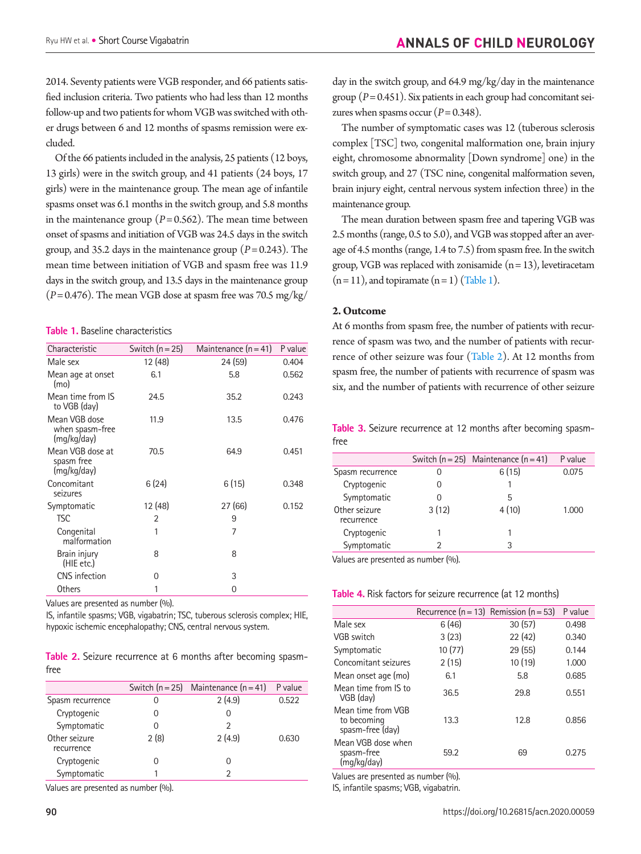2014. Seventy patients were VGB responder, and 66 patients satisfied inclusion criteria. Two patients who had less than 12 months follow-up and two patients for whom VGB was switched with other drugs between 6 and 12 months of spasms remission were excluded.

Of the 66 patients included in the analysis, 25 patients (12 boys, 13 girls) were in the switch group, and 41 patients (24 boys, 17 girls) were in the maintenance group. The mean age of infantile spasms onset was 6.1 months in the switch group, and 5.8 months in the maintenance group  $(P= 0.562)$ . The mean time between onset of spasms and initiation of VGB was 24.5 days in the switch group, and 35.2 days in the maintenance group  $(P= 0.243)$ . The mean time between initiation of VGB and spasm free was 11.9 days in the switch group, and 13.5 days in the maintenance group  $(P= 0.476)$ . The mean VGB dose at spasm free was 70.5 mg/kg/

#### <span id="page-2-0"></span>**Table 1.** Baseline characteristics

| Characteristic                                  | Switch $(n=25)$ | Maintenance $(n = 41)$ | P value |
|-------------------------------------------------|-----------------|------------------------|---------|
| Male sex                                        | 12 (48)         | 24 (59)                | 0.404   |
| Mean age at onset<br>(mo)                       | 6.1             | 5.8                    | 0.562   |
| Mean time from IS<br>to VGB (day)               | 24.5            | 35.2                   | 0.243   |
| Mean VGB dose<br>when spasm-free<br>(mg/kg/day) | 11.9            | 13.5                   | 0.476   |
| Mean VGB dose at<br>spasm free<br>(mg/kg/day)   | 70.5            | 64.9                   | 0.451   |
| Concomitant<br>seizures                         | 6(24)           | 6(15)                  | 0.348   |
| Symptomatic                                     | 12 (48)         | 27 (66)                | 0.152   |
| TSC                                             | 2               | 9                      |         |
| Congenital<br>malformation                      | 1               | 7                      |         |
| Brain injury<br>(HIE etc.)                      | 8               | 8                      |         |
| <b>CNS</b> infection                            | 0               | 3                      |         |
| Others                                          | 1               | 0                      |         |

Values are presented as number (%).

IS, infantile spasms; VGB, vigabatrin; TSC, tuberous sclerosis complex; HIE, hypoxic ischemic encephalopathy; CNS, central nervous system.

<span id="page-2-1"></span>**Table 2.** Seizure recurrence at 6 months after becoming spasmfree

|                             |      | Switch $(n = 25)$ Maintenance $(n = 41)$ | P value |
|-----------------------------|------|------------------------------------------|---------|
| Spasm recurrence            |      | 2(4.9)                                   | 0.522   |
| Cryptogenic                 |      | O                                        |         |
| Symptomatic                 |      | 2                                        |         |
| Other seizure<br>recurrence | 2(8) | 2(4.9)                                   | 0.630   |
| Cryptogenic                 |      | 0                                        |         |
| Symptomatic                 |      | っ                                        |         |

Values are presented as number (%).

day in the switch group, and 64.9 mg/kg/day in the maintenance group (*P*= 0.451). Six patients in each group had concomitant seizures when spasms occur  $(P= 0.348)$ .

The number of symptomatic cases was 12 (tuberous sclerosis complex [TSC] two, congenital malformation one, brain injury eight, chromosome abnormality [Down syndrome] one) in the switch group, and 27 (TSC nine, congenital malformation seven, brain injury eight, central nervous system infection three) in the maintenance group.

The mean duration between spasm free and tapering VGB was 2.5 months (range, 0.5 to 5.0), and VGB was stopped after an average of 4.5 months (range, 1.4 to 7.5) from spasm free. In the switch group, VGB was replaced with zonisamide  $(n = 13)$ , levetiracetam  $(n=11)$ , and topiramate  $(n=1)$  [\(Table 1](#page-2-0)).

#### **2. Outcome**

At 6 months from spasm free, the number of patients with recurrence of spasm was two, and the number of patients with recurrence of other seizure was four ([Table 2](#page-2-1)). At 12 months from spasm free, the number of patients with recurrence of spasm was six, and the number of patients with recurrence of other seizure

<span id="page-2-2"></span>**Table 3.** Seizure recurrence at 12 months after becoming spasmfree

|                             |       | Switch $(n = 25)$ Maintenance $(n = 41)$ | P value |
|-----------------------------|-------|------------------------------------------|---------|
| Spasm recurrence            | 0     | 6(15)                                    | 0.075   |
| Cryptogenic                 | 0     |                                          |         |
| Symptomatic                 | O     | 5                                        |         |
| Other seizure<br>recurrence | 3(12) | 4(10)                                    | 1.000   |
| Cryptogenic                 |       |                                          |         |
| Symptomatic                 |       | 3                                        |         |

Values are presented as number (%).

#### <span id="page-2-3"></span>**Table 4.** Risk factors for seizure recurrence (at 12 months)

|                                                       | Recurrence ( $n = 13$ ) Remission ( $n = 53$ ) |        | P value |
|-------------------------------------------------------|------------------------------------------------|--------|---------|
| Male sex                                              | 6(46)                                          | 30(57) | 0.498   |
| VGB switch                                            | 3(23)                                          | 22(42) | 0.340   |
| Symptomatic                                           | 10(77)                                         | 29(55) | 0.144   |
| Concomitant seizures                                  | 2(15)                                          | 10(19) | 1.000   |
| Mean onset age (mo)                                   | 6.1                                            | 5.8    | 0.685   |
| Mean time from IS to<br>VGB (day)                     | 36.5                                           | 29.8   | 0.551   |
| Mean time from VGB<br>to becoming<br>spasm-free (day) | 13.3                                           | 12.8   | 0.856   |
| Mean VGB dose when<br>spasm-free<br>(mg/kg/day)       | 59.2                                           | 69     | 0.275   |

Values are presented as number (%).

IS, infantile spasms; VGB, vigabatrin.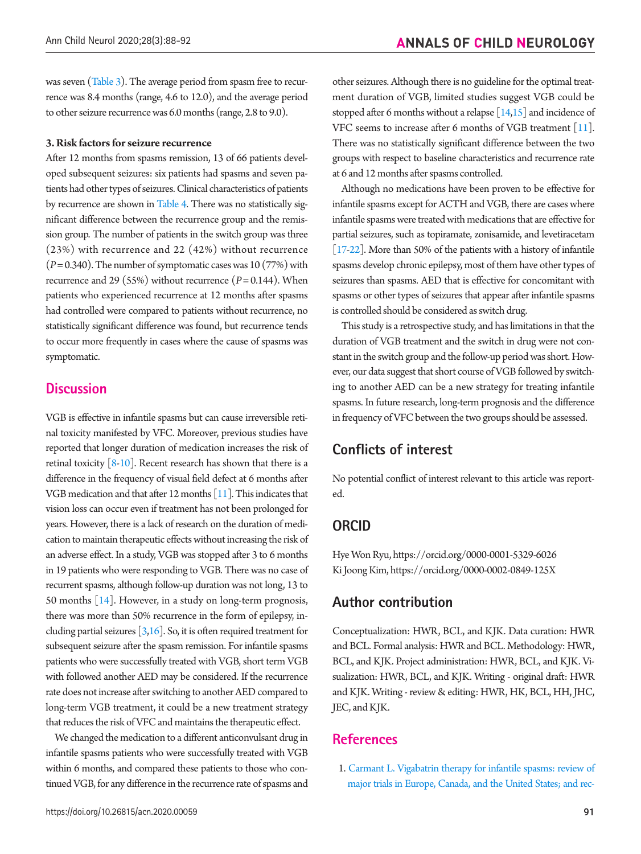was seven [\(Table 3](#page-2-2)). The average period from spasm free to recurrence was 8.4 months (range, 4.6 to 12.0), and the average period to other seizure recurrence was 6.0 months (range, 2.8 to 9.0).

#### **3. Risk factors for seizure recurrence**

After 12 months from spasms remission, 13 of 66 patients developed subsequent seizures: six patients had spasms and seven patients had other types of seizures. Clinical characteristics of patients by recurrence are shown in [Table 4](#page-2-3). There was no statistically significant difference between the recurrence group and the remission group. The number of patients in the switch group was three (23%) with recurrence and 22 (42%) without recurrence (*P*= 0.340). The number of symptomatic cases was 10 (77%) with recurrence and 29 (55%) without recurrence  $(P= 0.144)$ . When patients who experienced recurrence at 12 months after spasms had controlled were compared to patients without recurrence, no statistically significant difference was found, but recurrence tends to occur more frequently in cases where the cause of spasms was symptomatic.

## **Discussion**

VGB is effective in infantile spasms but can cause irreversible retinal toxicity manifested by VFC. Moreover, previous studies have reported that longer duration of medication increases the risk of retinal toxicity  $[8-10]$ . Recent research has shown that there is a difference in the frequency of visual field defect at 6 months after VGB medication and that after 12 months [11]. This indicates that vision loss can occur even if treatment has not been prolonged for years. However, there is a lack of research on the duration of medication to maintain therapeutic effects without increasing the risk of an adverse effect. In a study, VGB was stopped after 3 to 6 months in 19 patients who were responding to VGB. There was no case of recurrent spasms, although follow-up duration was not long, 13 to 50 months [\[14\]](#page-4-11). However, in a study on long-term prognosis, there was more than 50% recurrence in the form of epilepsy, including partial seizures  $\left[3,16\right]$ . So, it is often required treatment for subsequent seizure after the spasm remission. For infantile spasms patients who were successfully treated with VGB, short term VGB with followed another AED may be considered. If the recurrence rate does not increase after switching to another AED compared to long-term VGB treatment, it could be a new treatment strategy that reduces the risk of VFC and maintains the therapeutic effect.

We changed the medication to a different anticonvulsant drug in infantile spasms patients who were successfully treated with VGB within 6 months, and compared these patients to those who continued VGB, for any difference in the recurrence rate of spasms and other seizures. Although there is no guideline for the optimal treatment duration of VGB, limited studies suggest VGB could be stopped after 6 months without a relapse  $[14,15]$  $[14,15]$  and incidence of VFC seems to increase after 6 months of VGB treatment [\[11\]](#page-4-6). There was no statistically significant difference between the two groups with respect to baseline characteristics and recurrence rate at 6 and 12 months after spasms controlled.

Although no medications have been proven to be effective for infantile spasms except for ACTH and VGB, there are cases where infantile spasms were treated with medications that are effective for partial seizures, such as topiramate, zonisamide, and levetiracetam [\[17](#page-4-16)[-22](#page-4-17)]. More than 50% of the patients with a history of infantile spasms develop chronic epilepsy, most of them have other types of seizures than spasms. AED that is effective for concomitant with spasms or other types of seizures that appear after infantile spasms is controlled should be considered as switch drug.

This study is a retrospective study, and has limitations in that the duration of VGB treatment and the switch in drug were not constant in the switch group and the follow-up period was short. However, our data suggest that short course of VGB followed by switching to another AED can be a new strategy for treating infantile spasms. In future research, long-term prognosis and the difference in frequency of VFC between the two groups should be assessed.

## **Conflicts of interest**

No potential conflict of interest relevant to this article was reported.

## **ORCID**

Hye Won Ryu, https://orcid.org/0000-0001-5329-6026 Ki Joong Kim, https://orcid.org/0000-0002-0849-125X

## **Author contribution**

Conceptualization: HWR, BCL, and KJK. Data curation: HWR and BCL. Formal analysis: HWR and BCL. Methodology: HWR, BCL, and KJK. Project administration: HWR, BCL, and KJK. Visualization: HWR, BCL, and KJK. Writing - original draft: HWR and KJK. Writing - review & editing: HWR, HK, BCL, HH, JHC, JEC, and KJK.

## **References**

<span id="page-3-0"></span>1. [Carmant L. Vigabatrin therapy for infantile spasms: review of](https://doi.org/10.1111/j.1600-0404.2011.01599.x)  [major trials in Europe, Canada, and the United States; and rec-](https://doi.org/10.1111/j.1600-0404.2011.01599.x)